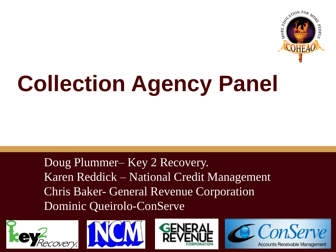

# **Collection Agency Panel**

Doug Plummer– Key 2 Recovery. Karen Reddick – National Credit Management Chris Baker- General Revenue Corporation Dominic Queirolo-ConServe







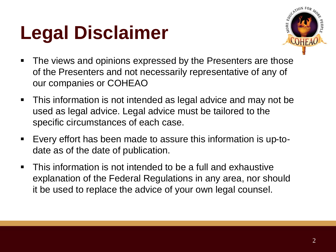## **Legal Disclaimer**



- **The views and opinions expressed by the Presenters are those** of the Presenters and not necessarily representative of any of our companies or COHEAO
- This information is not intended as legal advice and may not be used as legal advice. Legal advice must be tailored to the specific circumstances of each case.
- Every effort has been made to assure this information is up-todate as of the date of publication.
- **This information is not intended to be a full and exhaustive** explanation of the Federal Regulations in any area, nor should it be used to replace the advice of your own legal counsel.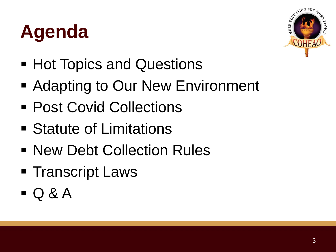## **Agenda**



- Hot Topics and Questions
- Adapting to Our New Environment
- Post Covid Collections
- Statute of Limitations
- **New Debt Collection Rules**
- Transcript Laws
- $\Box$  Q & A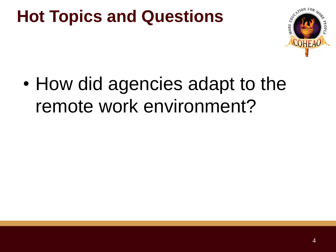

• How did agencies adapt to the remote work environment?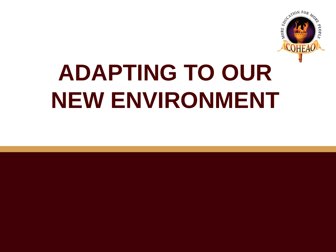

# **ADAPTING TO OUR NEW ENVIRONMENT**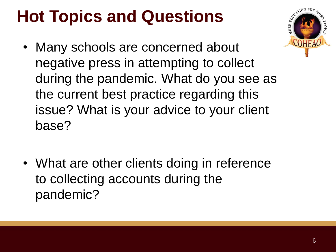- Many schools are concerned about negative press in attempting to collect during the pandemic. What do you see as the current best practice regarding this issue? What is your advice to your client base?
- What are other clients doing in reference to collecting accounts during the pandemic?

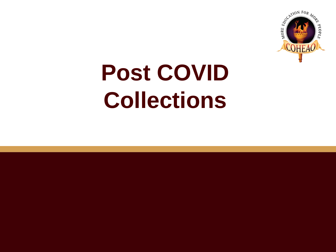

# **Post COVID Collections**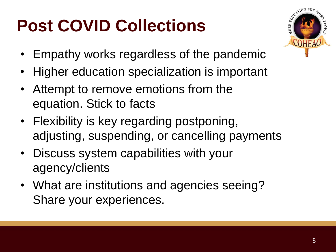### **Post COVID Collections**



- Empathy works regardless of the pandemic
- Higher education specialization is important
- Attempt to remove emotions from the equation. Stick to facts
- Flexibility is key regarding postponing, adjusting, suspending, or cancelling payments
- Discuss system capabilities with your agency/clients
- What are institutions and agencies seeing? Share your experiences.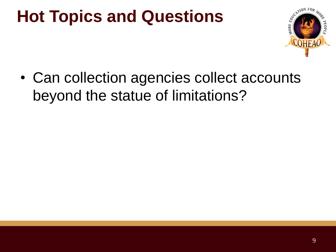

• Can collection agencies collect accounts beyond the statue of limitations?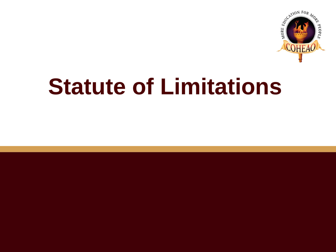

## **Statute of Limitations**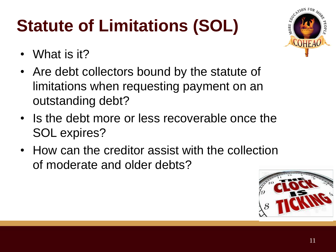## **Statute of Limitations (SOL)**

**COHFAC** 

- What is it?
- Are debt collectors bound by the statute of limitations when requesting payment on an outstanding debt?
- Is the debt more or less recoverable once the SOL expires?
- How can the creditor assist with the collection of moderate and older debts?

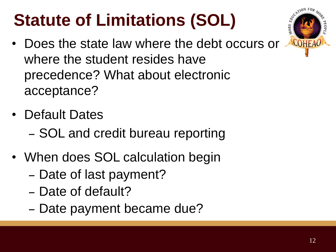### **Statute of Limitations (SOL)**

- **COHEAO**
- Does the state law where the debt occurs or where the student resides have precedence? What about electronic acceptance?
- Default Dates
	- SOL and credit bureau reporting
- When does SOL calculation begin
	- Date of last payment?
	- Date of default?
	- Date payment became due?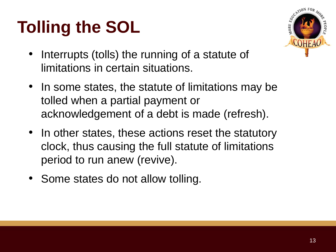### **Tolling the SOL**



- Interrupts (tolls) the running of a statute of limitations in certain situations.
- In some states, the statute of limitations may be tolled when a partial payment or acknowledgement of a debt is made (refresh).
- In other states, these actions reset the statutory clock, thus causing the full statute of limitations period to run anew (revive).
- Some states do not allow tolling.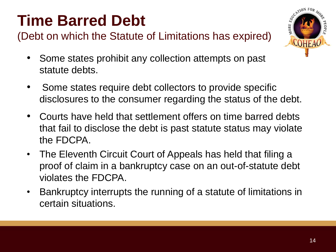#### **Time Barred Debt**

(Debt on which the Statute of Limitations has expired)



- Some states prohibit any collection attempts on past statute debts.
- Some states require debt collectors to provide specific disclosures to the consumer regarding the status of the debt.
- Courts have held that settlement offers on time barred debts that fail to disclose the debt is past statute status may violate the FDCPA.
- The Eleventh Circuit Court of Appeals has held that filing a proof of claim in a bankruptcy case on an out-of-statute debt violates the FDCPA.
- Bankruptcy interrupts the running of a statute of limitations in certain situations.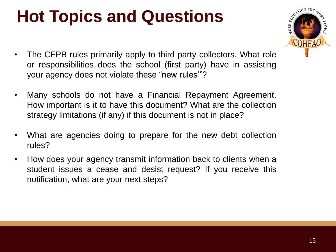

- The CFPB rules primarily apply to third party collectors. What role or responsibilities does the school (first party) have in assisting your agency does not violate these "new rules'"?
- Many schools do not have a Financial Repayment Agreement. How important is it to have this document? What are the collection strategy limitations (if any) if this document is not in place?
- What are agencies doing to prepare for the new debt collection rules?
- How does your agency transmit information back to clients when a student issues a cease and desist request? If you receive this notification, what are your next steps?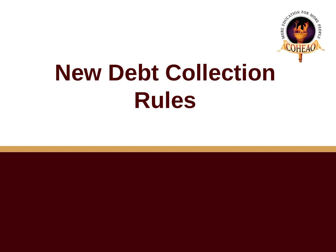

# **New Debt Collection Rules**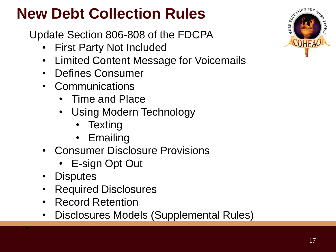#### **New Debt Collection Rules**

Update Section 806-808 of the FDCPA

- First Party Not Included
- Limited Content Message for Voicemails
- Defines Consumer
- Communications
	- Time and Place
	- Using Modern Technology
		- Texting
		- Emailing
- Consumer Disclosure Provisions
	- E-sign Opt Out
- **Disputes**

•

- Required Disclosures
- Record Retention
- Disclosures Models (Supplemental Rules)

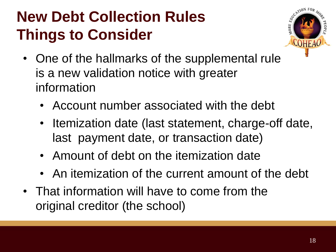#### **New Debt Collection Rules Things to Consider**



- One of the hallmarks of the supplemental rule is a new validation notice with greater information
	- Account number associated with the debt
	- Itemization date (last statement, charge-off date, last payment date, or transaction date)
	- Amount of debt on the itemization date
	- An itemization of the current amount of the debt
- That information will have to come from the original creditor (the school)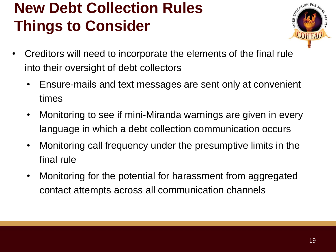#### **New Debt Collection Rules Things to Consider**



- Creditors will need to incorporate the elements of the final rule into their oversight of debt collectors
	- Ensure-mails and text messages are sent only at convenient times
	- Monitoring to see if mini-Miranda warnings are given in every language in which a debt collection communication occurs
	- Monitoring call frequency under the presumptive limits in the final rule
	- Monitoring for the potential for harassment from aggregated contact attempts across all communication channels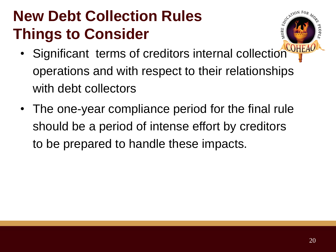#### **New Debt Collection Rules Things to Consider**



- Significant terms of creditors internal collection operations and with respect to their relationships with debt collectors
- The one-year compliance period for the final rule should be a period of intense effort by creditors to be prepared to handle these impacts.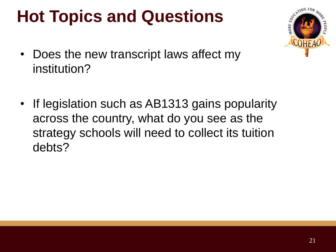

- Does the new transcript laws affect my institution?
- If legislation such as AB1313 gains popularity across the country, what do you see as the strategy schools will need to collect its tuition debts?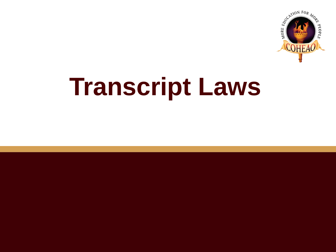

# **Transcript Laws**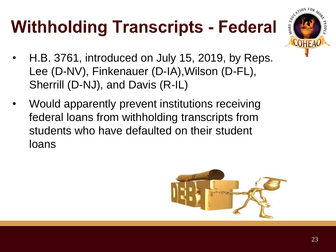## **Withholding Transcripts - Federal**



- H.B. 3761, introduced on July 15, 2019, by Reps. Lee (D-NV), Finkenauer (D-IA),Wilson (D-FL), Sherrill (D-NJ), and Davis (R-IL)
- Would apparently prevent institutions receiving federal loans from withholding transcripts from students who have defaulted on their student loans

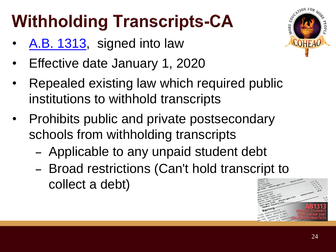### **Withholding Transcripts-CA**

- [A.B. 1313](https://www.dropbox.com/s/4yhxzu2exz0iovo/20190AB1313_95.pdf?dl=0), signed into law
- Effective date January 1, 2020
- Repealed existing law which required public institutions to withhold transcripts
- Prohibits public and private postsecondary schools from withholding transcripts
	- Applicable to any unpaid student debt
	- Broad restrictions (Can't hold transcript to collect a debt)



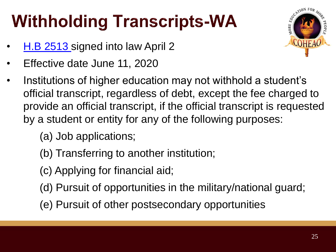### **Withholding Transcripts-WA**

- [H.B 2513 s](https://www.dropbox.com/s/ioaqeh1hud3pc1x/WA_HB_2513-S2.PL.pdf?dl=0)igned into law April 2
- Effective date June 11, 2020
- Institutions of higher education may not withhold a student's official transcript, regardless of debt, except the fee charged to provide an official transcript, if the official transcript is requested by a student or entity for any of the following purposes:
	- (a) Job applications;
	- (b) Transferring to another institution;
	- (c) Applying for financial aid;
	- (d) Pursuit of opportunities in the military/national guard;
	- (e) Pursuit of other postsecondary opportunities

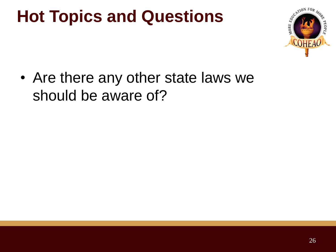

• Are there any other state laws we should be aware of?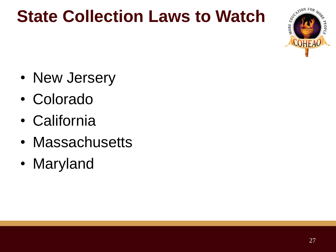#### **State Collection Laws to Watch**



- New Jersery
- Colorado
- California
- Massachusetts
- Maryland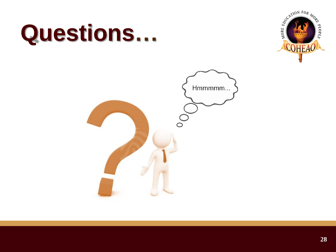